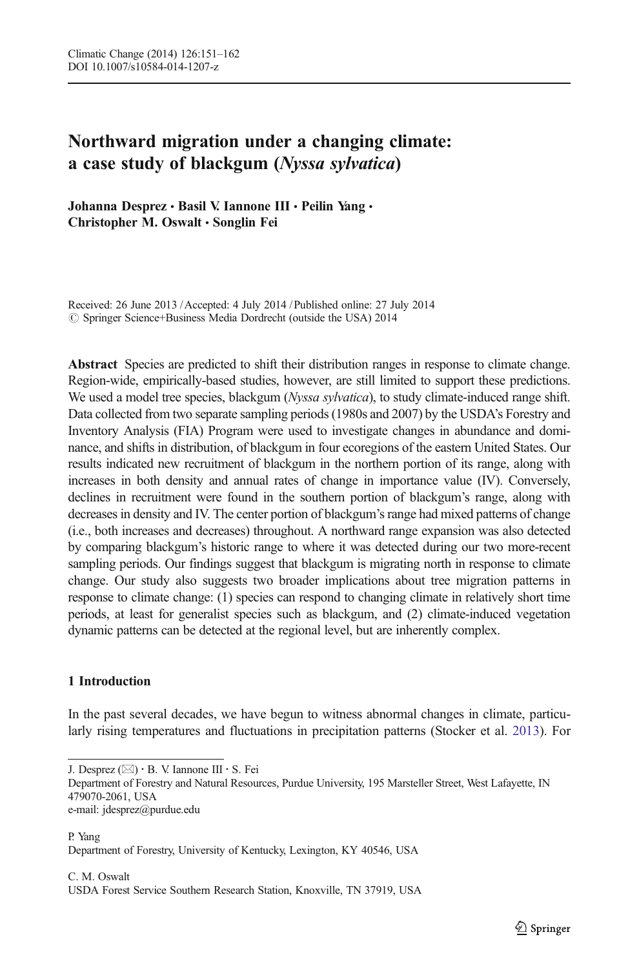# Northward migration under a changing climate: a case study of blackgum (Nyssa sylvatica)

Johanna Desprez · Basil V. Iannone III · Peilin Yang · Christopher M. Oswalt · Songlin Fei

Received: 26 June 2013 /Accepted: 4 July 2014 / Published online: 27 July 2014  $\circ$  Springer Science+Business Media Dordrecht (outside the USA) 2014

Abstract Species are predicted to shift their distribution ranges in response to climate change. Region-wide, empirically-based studies, however, are still limited to support these predictions. We used a model tree species, blackgum (Nyssa sylvatica), to study climate-induced range shift. Data collected from two separate sampling periods (1980s and 2007) by the USDA's Forestry and Inventory Analysis (FIA) Program were used to investigate changes in abundance and dominance, and shifts in distribution, of blackgum in four ecoregions of the eastern United States. Our results indicated new recruitment of blackgum in the northern portion of its range, along with increases in both density and annual rates of change in importance value (IV). Conversely, declines in recruitment were found in the southern portion of blackgum's range, along with decreases in density and IV. The center portion of blackgum's range had mixed patterns of change (i.e., both increases and decreases) throughout. A northward range expansion was also detected by comparing blackgum's historic range to where it was detected during our two more-recent sampling periods. Our findings suggest that blackgum is migrating north in response to climate change. Our study also suggests two broader implications about tree migration patterns in response to climate change: (1) species can respond to changing climate in relatively short time periods, at least for generalist species such as blackgum, and (2) climate-induced vegetation dynamic patterns can be detected at the regional level, but are inherently complex.

# 1 Introduction

In the past several decades, we have begun to witness abnormal changes in climate, particularly rising temperatures and fluctuations in precipitation patterns (Stocker et al. [2013](#page-11-0)). For

J. Desprez  $(\boxtimes) \cdot B$ . V. Iannone III  $\cdot S$ . Fei

Department of Forestry and Natural Resources, Purdue University, 195 Marsteller Street, West Lafayette, IN 479070-2061, USA

e-mail: jdesprez@purdue.edu

P. Yang Department of Forestry, University of Kentucky, Lexington, KY 40546, USA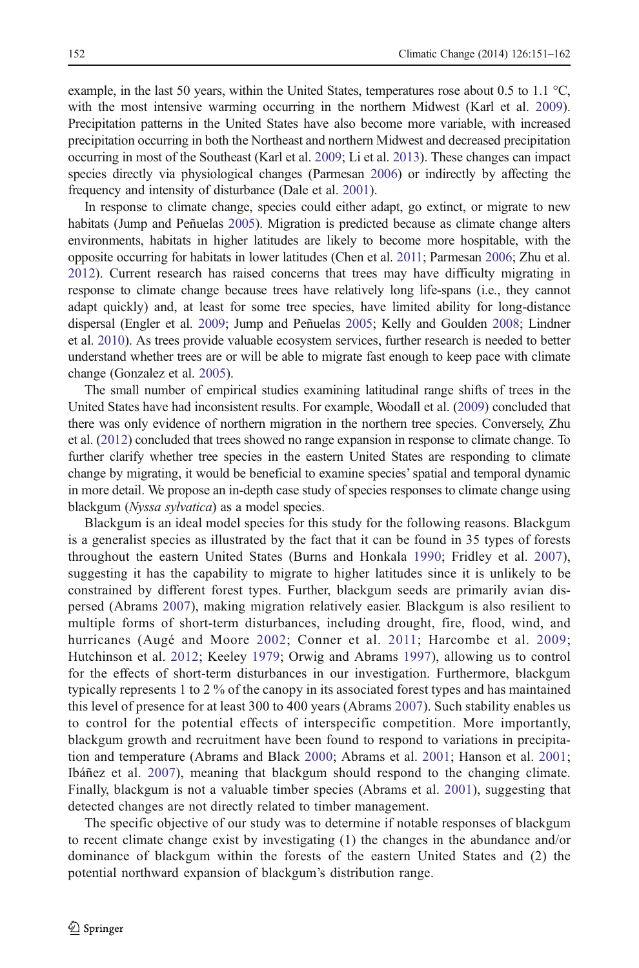example, in the last 50 years, within the United States, temperatures rose about 0.5 to 1.1  $^{\circ}$ C, with the most intensive warming occurring in the northern Midwest (Karl et al. [2009](#page-10-0)). Precipitation patterns in the United States have also become more variable, with increased precipitation occurring in both the Northeast and northern Midwest and decreased precipitation occurring in most of the Southeast (Karl et al. [2009](#page-10-0); Li et al. [2013\)](#page-10-0). These changes can impact species directly via physiological changes (Parmesan [2006](#page-11-0)) or indirectly by affecting the frequency and intensity of disturbance (Dale et al. [2001](#page-10-0)).

In response to climate change, species could either adapt, go extinct, or migrate to new habitats (Jump and Peñuelas [2005\)](#page-10-0). Migration is predicted because as climate change alters environments, habitats in higher latitudes are likely to become more hospitable, with the opposite occurring for habitats in lower latitudes (Chen et al. [2011;](#page-10-0) Parmesan [2006](#page-11-0); Zhu et al. [2012\)](#page-11-0). Current research has raised concerns that trees may have difficulty migrating in response to climate change because trees have relatively long life-spans (i.e., they cannot adapt quickly) and, at least for some tree species, have limited ability for long-distance dispersal (Engler et al. [2009;](#page-10-0) Jump and Peñuelas [2005](#page-10-0); Kelly and Goulden [2008](#page-10-0); Lindner et al. [2010\)](#page-10-0). As trees provide valuable ecosystem services, further research is needed to better understand whether trees are or will be able to migrate fast enough to keep pace with climate change (Gonzalez et al. [2005](#page-10-0)).

The small number of empirical studies examining latitudinal range shifts of trees in the United States have had inconsistent results. For example, Woodall et al. ([2009](#page-11-0)) concluded that there was only evidence of northern migration in the northern tree species. Conversely, Zhu et al. [\(2012\)](#page-11-0) concluded that trees showed no range expansion in response to climate change. To further clarify whether tree species in the eastern United States are responding to climate change by migrating, it would be beneficial to examine species'spatial and temporal dynamic in more detail. We propose an in-depth case study of species responses to climate change using blackgum (Nyssa sylvatica) as a model species.

Blackgum is an ideal model species for this study for the following reasons. Blackgum is a generalist species as illustrated by the fact that it can be found in 35 types of forests throughout the eastern United States (Burns and Honkala [1990;](#page-10-0) Fridley et al. [2007](#page-10-0)), suggesting it has the capability to migrate to higher latitudes since it is unlikely to be constrained by different forest types. Further, blackgum seeds are primarily avian dispersed (Abrams [2007](#page-9-0)), making migration relatively easier. Blackgum is also resilient to multiple forms of short-term disturbances, including drought, fire, flood, wind, and hurricanes (Augé and Moore [2002](#page-10-0); Conner et al. [2011](#page-10-0); Harcombe et al. [2009](#page-10-0); Hutchinson et al. [2012;](#page-10-0) Keeley [1979;](#page-10-0) Orwig and Abrams [1997\)](#page-11-0), allowing us to control for the effects of short-term disturbances in our investigation. Furthermore, blackgum typically represents 1 to 2 % of the canopy in its associated forest types and has maintained this level of presence for at least 300 to 400 years (Abrams [2007](#page-9-0)). Such stability enables us to control for the potential effects of interspecific competition. More importantly, blackgum growth and recruitment have been found to respond to variations in precipitation and temperature (Abrams and Black [2000;](#page-9-0) Abrams et al. [2001;](#page-10-0) Hanson et al. [2001](#page-10-0); Ibáñez et al. [2007\)](#page-10-0), meaning that blackgum should respond to the changing climate. Finally, blackgum is not a valuable timber species (Abrams et al. [2001](#page-10-0)), suggesting that detected changes are not directly related to timber management.

The specific objective of our study was to determine if notable responses of blackgum to recent climate change exist by investigating (1) the changes in the abundance and/or dominance of blackgum within the forests of the eastern United States and (2) the potential northward expansion of blackgum's distribution range.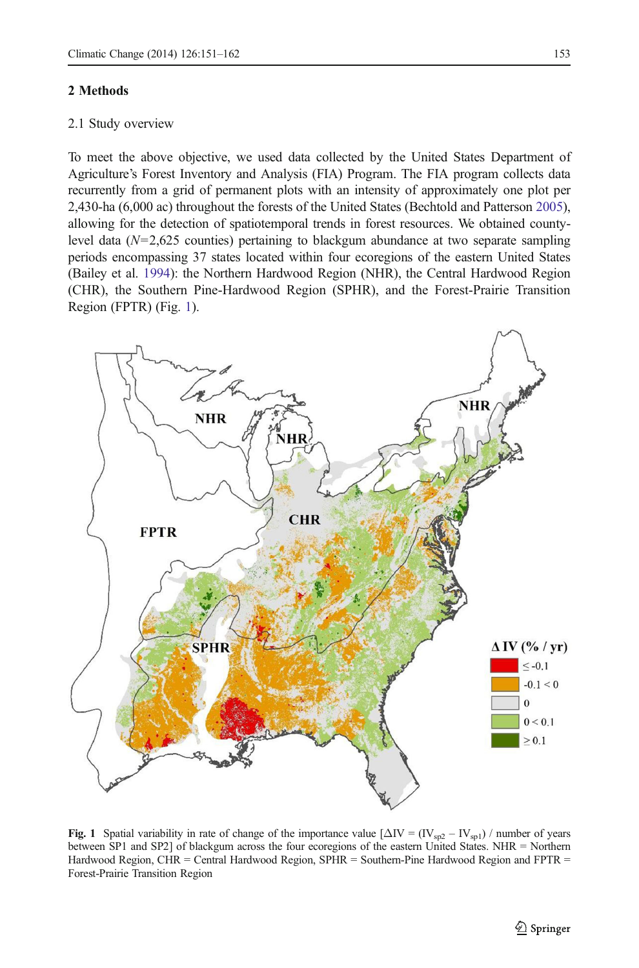#### <span id="page-2-0"></span>2 Methods

# 2.1 Study overview

To meet the above objective, we used data collected by the United States Department of Agriculture's Forest Inventory and Analysis (FIA) Program. The FIA program collects data recurrently from a grid of permanent plots with an intensity of approximately one plot per 2,430-ha (6,000 ac) throughout the forests of the United States (Bechtold and Patterson [2005](#page-10-0)), allowing for the detection of spatiotemporal trends in forest resources. We obtained countylevel data  $(N=2,625)$  counties) pertaining to blackgum abundance at two separate sampling periods encompassing 37 states located within four ecoregions of the eastern United States (Bailey et al. [1994](#page-10-0)): the Northern Hardwood Region (NHR), the Central Hardwood Region (CHR), the Southern Pine-Hardwood Region (SPHR), and the Forest-Prairie Transition Region (FPTR) (Fig. 1).



Fig. 1 Spatial variability in rate of change of the importance value  $[\Delta IV = (IV_{sp2} - IV_{sp1})$  / number of years between SP1 and SP2] of blackgum across the four ecoregions of the eastern United States. NHR = Northern Hardwood Region, CHR = Central Hardwood Region, SPHR = Southern-Pine Hardwood Region and FPTR = Forest-Prairie Transition Region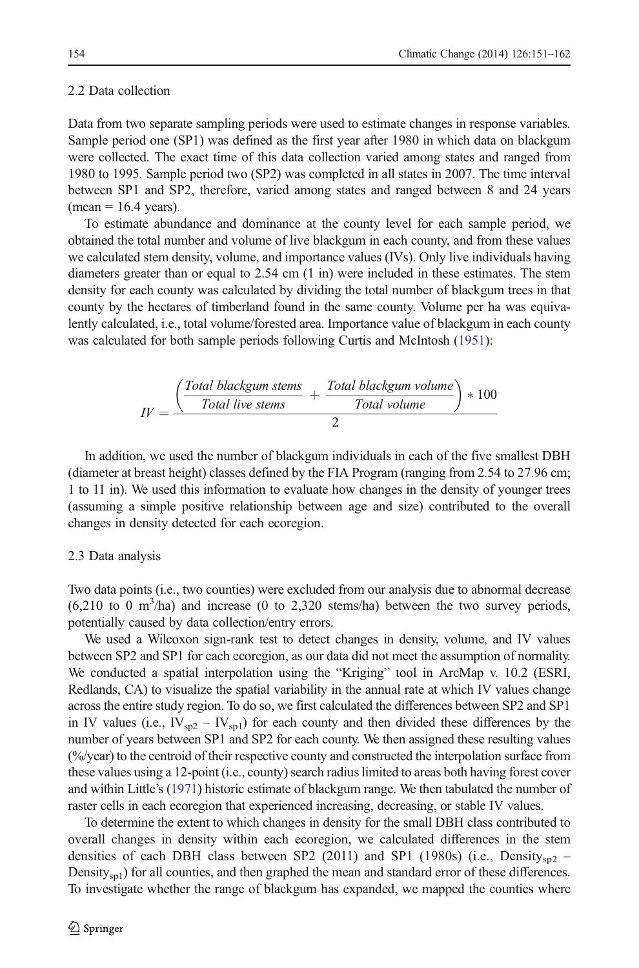#### 2.2 Data collection

Data from two separate sampling periods were used to estimate changes in response variables. Sample period one (SP1) was defined as the first year after 1980 in which data on blackgum were collected. The exact time of this data collection varied among states and ranged from 1980 to 1995. Sample period two (SP2) was completed in all states in 2007. The time interval between SP1 and SP2, therefore, varied among states and ranged between 8 and 24 years  $(mean = 16.4 \text{ years}).$ 

To estimate abundance and dominance at the county level for each sample period, we obtained the total number and volume of live blackgum in each county, and from these values we calculated stem density, volume, and importance values (IVs). Only live individuals having diameters greater than or equal to 2.54 cm (1 in) were included in these estimates. The stem density for each county was calculated by dividing the total number of blackgum trees in that county by the hectares of timberland found in the same county. Volume per ha was equivalently calculated, i.e., total volume/forested area. Importance value of blackgum in each county was calculated for both sample periods following Curtis and McInt[osh \(1](#page-10-0)951):

$$
IV = \frac{\left(\frac{Total \; blackgum \; stems}{Total \; live \; stems} + \frac{Total \; blackgum \; volume}{Total \; volume}\right) * 100}{2}
$$

In addition, we used the number of blackgum individuals in each of the five smallest DBH (diameter at breast height) classes defined by the FIA Program (ranging from 2.54 to 27.96 cm; 1 to 11 in). We used this information to evaluate how changes in the density of younger trees (assuming a simple positive relationship between age and size) contributed to the overall changes in density detected for each ecoregion.

#### 2.3 Data analysis

Two data points (i.e., two counties) were excluded from our analysis due to abnormal decrease  $(6,210 \text{ to } 0 \text{ m}^3/\text{ha})$  and increase  $(0 \text{ to } 2,320 \text{ stems/ha})$  between the two survey periods, potentially caused by data collection/entry errors.

We used a Wilcoxon sign-rank test to detect changes in density, volume, and IV values between SP2 and SP1 for each ecoregion, as our data did not meet the assumption of normality. We conducted a spatial interpolation using the "Kriging" tool in ArcMap v. 10.2 (ESRI, Redlands, CA) to visualize the spatial variability in the annual rate at which IV values change across the entire study region. To do so, we first calculated the differences between SP2 and SP1 in IV values (i.e.,  $IV_{sp2} - IV_{sp1}$ ) for each county and then divided these differences by the number of years between SP1 and SP2 for each county. We then assigned these resulting values (%/year) to the centroid of their respective county and constructed the interpolation surface from these values using a 12-point (i.e., county) search radius limited to areas both having forest cover and within Little's [\(1971\)](#page-10-0) historic estimate of blackgum range. We then tabulated the number of raster cells in each ecoregion that experienced increasing, decreasing, or stable IV values.

To determine the extent to which changes in density for the small DBH class contributed to overall changes in density within each ecoregion, we calculated differences in the stem densities of each DBH class between SP2 (2011) and SP1 (1980s) (i.e., Density<sub>sp2</sub> – Density<sub>sp1</sub>) for all counties, and then graphed the mean and standard error of these differences. To investigate whether the range of blackgum has expanded, we mapped the counties where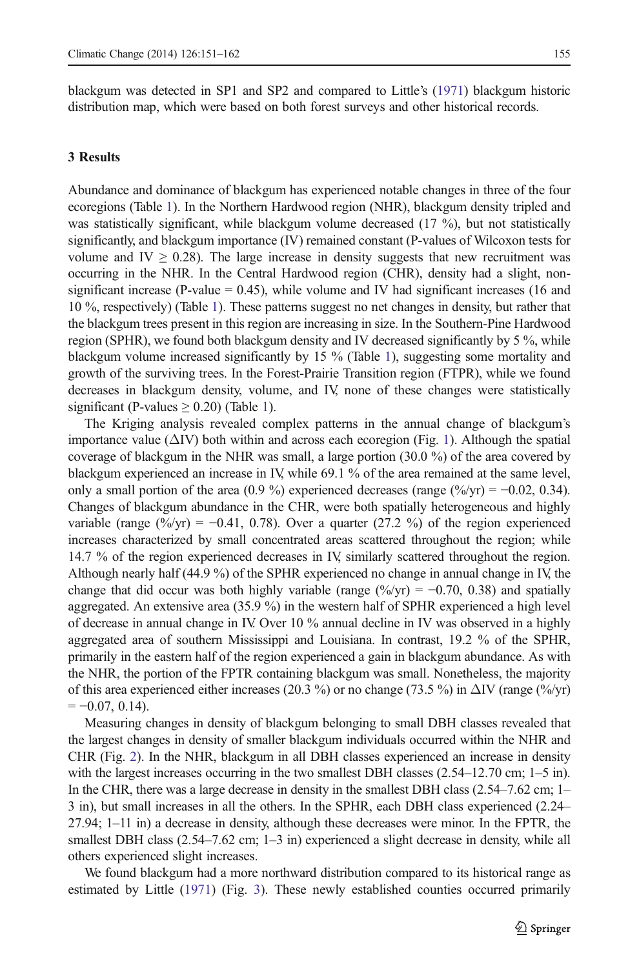blackgum was detected in SP1 and SP2 and compared to Little's ([1971](#page-10-0)) blackgum historic distribution map, which were based on both forest surveys and other historical records.

## 3 Results

Abundance and dominance of blackgum has experienced notable changes in three of the four ecoregions (Table [1\)](#page-5-0). In the Northern Hardwood region (NHR), blackgum density tripled and was statistically significant, while blackgum volume decreased (17 %), but not statistically significantly, and blackgum importance (IV) remained constant (P-values of Wilcoxon tests for volume and IV  $\geq 0.28$ ). The large increase in density suggests that new recruitment was occurring in the NHR. In the Central Hardwood region (CHR), density had a slight, nonsignificant increase (P-value  $= 0.45$ ), while volume and IV had significant increases (16 and 10 %, respectively) (Table [1](#page-5-0)). These patterns suggest no net changes in density, but rather that the blackgum trees present in this region are increasing in size. In the Southern-Pine Hardwood region (SPHR), we found both blackgum density and IV decreased significantly by 5 %, while blackgum volume increased significantly by 15 % (Table [1](#page-5-0)), suggesting some mortality and growth of the surviving trees. In the Forest-Prairie Transition region (FTPR), while we found decreases in blackgum density, volume, and IV, none of these changes were statistically significant (P-values  $\geq$  0.20) (Table [1\)](#page-5-0).

The Kriging analysis revealed complex patterns in the annual change of blackgum's importance value  $(\Delta IV)$  both within and across each ecoregion (Fig. [1](#page-2-0)). Although the spatial coverage of blackgum in the NHR was small, a large portion (30.0 %) of the area covered by blackgum experienced an increase in IV, while 69.1 % of the area remained at the same level, only a small portion of the area (0.9 %) experienced decreases (range  $(\frac{\%}{\gamma r}) = -0.02, 0.34$ ). Changes of blackgum abundance in the CHR, were both spatially heterogeneous and highly variable (range  $(\frac{\%}{yr}) = -0.41, 0.78$ ). Over a quarter (27.2 %) of the region experienced increases characterized by small concentrated areas scattered throughout the region; while 14.7 % of the region experienced decreases in IV, similarly scattered throughout the region. Although nearly half (44.9 %) of the SPHR experienced no change in annual change in IV, the change that did occur was both highly variable (range  $(\frac{\%}{yr}) = -0.70, 0.38$ ) and spatially aggregated. An extensive area (35.9 %) in the western half of SPHR experienced a high level of decrease in annual change in IV. Over 10 % annual decline in IV was observed in a highly aggregated area of southern Mississippi and Louisiana. In contrast, 19.2 % of the SPHR, primarily in the eastern half of the region experienced a gain in blackgum abundance. As with the NHR, the portion of the FPTR containing blackgum was small. Nonetheless, the majority of this area experienced either increases (20.3 %) or no change (73.5 %) in  $\Delta IV$  (range (%/yr)  $=-0.07, 0.14$ .

Measuring changes in density of blackgum belonging to small DBH classes revealed that the largest changes in density of smaller blackgum individuals occurred within the NHR and CHR (Fig. [2](#page-6-0)). In the NHR, blackgum in all DBH classes experienced an increase in density with the largest increases occurring in the two smallest DBH classes (2.54–12.70 cm; 1–5 in). In the CHR, there was a large decrease in density in the smallest DBH class (2.54–7.62 cm; 1– 3 in), but small increases in all the others. In the SPHR, each DBH class experienced (2.24– 27.94; 1–11 in) a decrease in density, although these decreases were minor. In the FPTR, the smallest DBH class (2.54–7.62 cm; 1–3 in) experienced a slight decrease in density, while all others experienced slight increases.

We found blackgum had a more northward distribution compared to its historical range as estimated by Little ([1971](#page-10-0)) (Fig. [3](#page-7-0)). These newly established counties occurred primarily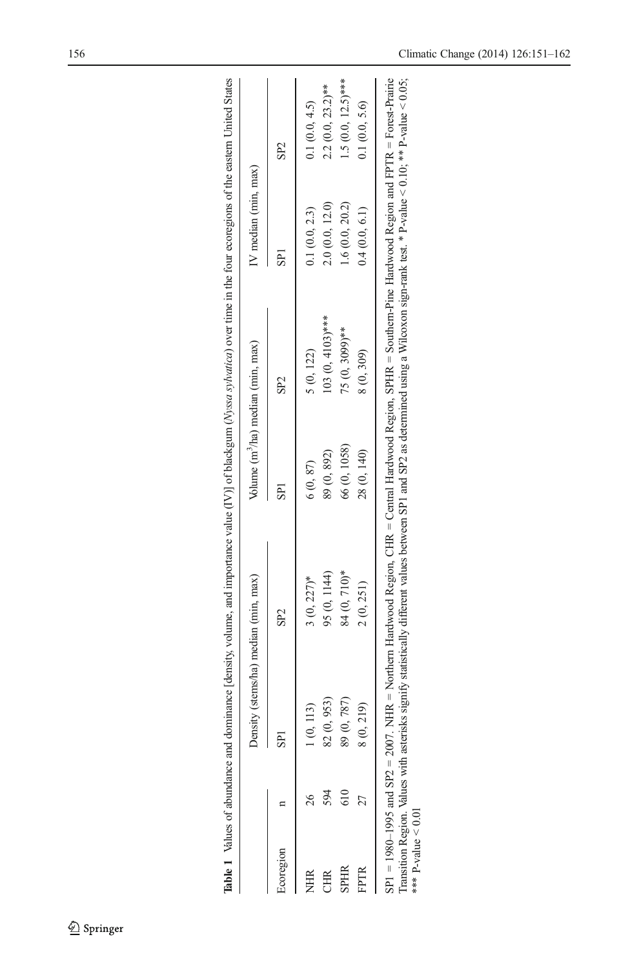<span id="page-5-0"></span>

|           |                 | nsity (stems/ha) median (min, max) |              | Volume (m <sup>3</sup> /ha) median (min, max) | IV median (min, max) |                      |
|-----------|-----------------|------------------------------------|--------------|-----------------------------------------------|----------------------|----------------------|
| Ecoregion | SP <sub>1</sub> | SP <sub>2</sub>                    | SPI          | SP <sub>2</sub>                               | SPI                  | SP <sub>2</sub>      |
| NHR       | ), 113)         | $3(0, 227)$ *                      | 6(0, 87)     | 5 (0, 122)                                    | 0.1(0.0, 2.3)        | 0.1(0.0, 4.5)        |
| Ë         | (0, 953)        | 95 (0, 1144)                       | 89 (0, 892)  | $103(0, 4103)$ ***                            | 2.0(0.0, 12.0)       | $2.2(0.0, 23.2)$ **  |
| SPHR      | (0, 787)<br>89  | 84 (0, 710)*                       | 66 (0, 1058) | 75 (0, 3099)**                                | 1.6(0.0, 20.2)       | $1.5(0.0, 12.5)$ *** |
|           | ), 219)         | 2(0, 251)                          | 28 (0, 140)  | 8 (0, 309)                                    | 0.4(0.0, 6.1)        | 0.1(0.0, 5.6)        |

| ١<br><b>.</b><br>$\begin{array}{c} \n\bullet & \bullet & \bullet & \bullet \\ \n\bullet & \bullet & \bullet & \bullet \\ \n\bullet & \bullet & \bullet & \bullet \end{array}$<br>֦֧֦֧֦֧֦֧֦֧֢֛֦֧֪֦֪֪֪֪֪֦֧֪֪֪֪֪֪֪֪֪֪֪֪֪֪֪֪֪֪֪֪֪֚֚֚֚֚֚֚֬֜֓֡֬֓֡֬֓֓֞֡֟֓֡֬֓֓֞֡֓֓֞֡֬֓֓֓֞֡֬<br>ļ<br>ļ |
|-------------------------------------------------------------------------------------------------------------------------------------------------------------------------------------------------------------------------------------------------------------------------------|
|                                                                                                                                                                                                                                                                               |
|                                                                                                                                                                                                                                                                               |
|                                                                                                                                                                                                                                                                               |
|                                                                                                                                                                                                                                                                               |
|                                                                                                                                                                                                                                                                               |
|                                                                                                                                                                                                                                                                               |
|                                                                                                                                                                                                                                                                               |
|                                                                                                                                                                                                                                                                               |
|                                                                                                                                                                                                                                                                               |
|                                                                                                                                                                                                                                                                               |
|                                                                                                                                                                                                                                                                               |
|                                                                                                                                                                                                                                                                               |
|                                                                                                                                                                                                                                                                               |
|                                                                                                                                                                                                                                                                               |
|                                                                                                                                                                                                                                                                               |
|                                                                                                                                                                                                                                                                               |
|                                                                                                                                                                                                                                                                               |
|                                                                                                                                                                                                                                                                               |
|                                                                                                                                                                                                                                                                               |
|                                                                                                                                                                                                                                                                               |
|                                                                                                                                                                                                                                                                               |
|                                                                                                                                                                                                                                                                               |
|                                                                                                                                                                                                                                                                               |
|                                                                                                                                                                                                                                                                               |
|                                                                                                                                                                                                                                                                               |
|                                                                                                                                                                                                                                                                               |
|                                                                                                                                                                                                                                                                               |
|                                                                                                                                                                                                                                                                               |
|                                                                                                                                                                                                                                                                               |
|                                                                                                                                                                                                                                                                               |
|                                                                                                                                                                                                                                                                               |
|                                                                                                                                                                                                                                                                               |
|                                                                                                                                                                                                                                                                               |
|                                                                                                                                                                                                                                                                               |
|                                                                                                                                                                                                                                                                               |
|                                                                                                                                                                                                                                                                               |
|                                                                                                                                                                                                                                                                               |
|                                                                                                                                                                                                                                                                               |
|                                                                                                                                                                                                                                                                               |
|                                                                                                                                                                                                                                                                               |
|                                                                                                                                                                                                                                                                               |
|                                                                                                                                                                                                                                                                               |
|                                                                                                                                                                                                                                                                               |
|                                                                                                                                                                                                                                                                               |
|                                                                                                                                                                                                                                                                               |
|                                                                                                                                                                                                                                                                               |
|                                                                                                                                                                                                                                                                               |
|                                                                                                                                                                                                                                                                               |
|                                                                                                                                                                                                                                                                               |
|                                                                                                                                                                                                                                                                               |
|                                                                                                                                                                                                                                                                               |
|                                                                                                                                                                                                                                                                               |
|                                                                                                                                                                                                                                                                               |
|                                                                                                                                                                                                                                                                               |
|                                                                                                                                                                                                                                                                               |
|                                                                                                                                                                                                                                                                               |
|                                                                                                                                                                                                                                                                               |
|                                                                                                                                                                                                                                                                               |
|                                                                                                                                                                                                                                                                               |
|                                                                                                                                                                                                                                                                               |
|                                                                                                                                                                                                                                                                               |
|                                                                                                                                                                                                                                                                               |
|                                                                                                                                                                                                                                                                               |
|                                                                                                                                                                                                                                                                               |
|                                                                                                                                                                                                                                                                               |
|                                                                                                                                                                                                                                                                               |
|                                                                                                                                                                                                                                                                               |
|                                                                                                                                                                                                                                                                               |
|                                                                                                                                                                                                                                                                               |
|                                                                                                                                                                                                                                                                               |
|                                                                                                                                                                                                                                                                               |
|                                                                                                                                                                                                                                                                               |
|                                                                                                                                                                                                                                                                               |
|                                                                                                                                                                                                                                                                               |
|                                                                                                                                                                                                                                                                               |
|                                                                                                                                                                                                                                                                               |
|                                                                                                                                                                                                                                                                               |
|                                                                                                                                                                                                                                                                               |
|                                                                                                                                                                                                                                                                               |
|                                                                                                                                                                                                                                                                               |
|                                                                                                                                                                                                                                                                               |
|                                                                                                                                                                                                                                                                               |
|                                                                                                                                                                                                                                                                               |
|                                                                                                                                                                                                                                                                               |
|                                                                                                                                                                                                                                                                               |
|                                                                                                                                                                                                                                                                               |
|                                                                                                                                                                                                                                                                               |
|                                                                                                                                                                                                                                                                               |
|                                                                                                                                                                                                                                                                               |
|                                                                                                                                                                                                                                                                               |
|                                                                                                                                                                                                                                                                               |
|                                                                                                                                                                                                                                                                               |
|                                                                                                                                                                                                                                                                               |
|                                                                                                                                                                                                                                                                               |
|                                                                                                                                                                                                                                                                               |
|                                                                                                                                                                                                                                                                               |
|                                                                                                                                                                                                                                                                               |
|                                                                                                                                                                                                                                                                               |
|                                                                                                                                                                                                                                                                               |
|                                                                                                                                                                                                                                                                               |
|                                                                                                                                                                                                                                                                               |
|                                                                                                                                                                                                                                                                               |
|                                                                                                                                                                                                                                                                               |
|                                                                                                                                                                                                                                                                               |
|                                                                                                                                                                                                                                                                               |
|                                                                                                                                                                                                                                                                               |
|                                                                                                                                                                                                                                                                               |
|                                                                                                                                                                                                                                                                               |
|                                                                                                                                                                                                                                                                               |
|                                                                                                                                                                                                                                                                               |
|                                                                                                                                                                                                                                                                               |
|                                                                                                                                                                                                                                                                               |
|                                                                                                                                                                                                                                                                               |
|                                                                                                                                                                                                                                                                               |
|                                                                                                                                                                                                                                                                               |
|                                                                                                                                                                                                                                                                               |
|                                                                                                                                                                                                                                                                               |
|                                                                                                                                                                                                                                                                               |
|                                                                                                                                                                                                                                                                               |
|                                                                                                                                                                                                                                                                               |
| ś                                                                                                                                                                                                                                                                             |
| Į                                                                                                                                                                                                                                                                             |

Transition Region. Values with asterisks signify statistically different values between SP1 and SP2 as determined using a Wilcoxon sign-rank test. \* P-value < 0.10; \*\* P-value < 0.05;<br>\*\*\* P-value < 0.01 Transition Region. Values with asterisks signify statistically different values between SP1 and SP2 as determined using a Wilcoxon sign-rank test. \* P-value < 0.10; \*\* P-value < 0.05; \*\*\* P-value < 0.01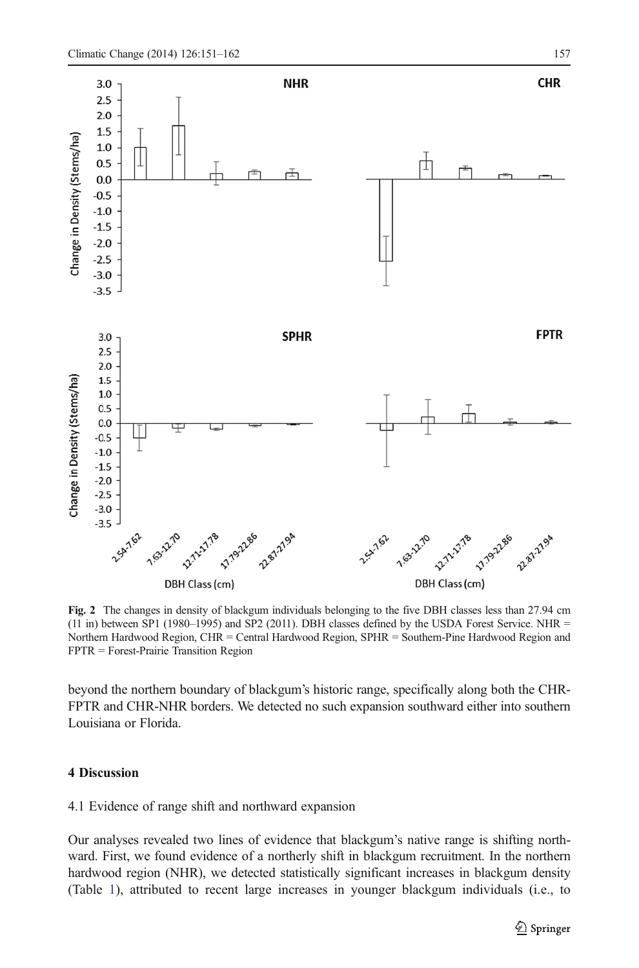<span id="page-6-0"></span>

Fig. 2 The changes in density of blackgum individuals belonging to the five DBH classes less than 27.94 cm (11 in) between SP1 (1980–1995) and SP2 (2011). DBH classes defined by the USDA Forest Service. NHR = Northern Hardwood Region, CHR = Central Hardwood Region, SPHR = Southern-Pine Hardwood Region and FPTR = Forest-Prairie Transition Region

beyond the northern boundary of blackgum's historic range, specifically along both the CHR-FPTR and CHR-NHR borders. We detected no such expansion southward either into southern Louisiana or Florida.

# 4 Discussion

## 4.1 Evidence of range shift and northward expansion

Our analyses revealed two lines of evidence that blackgum's native range is shifting northward. First, we found evidence of a northerly shift in blackgum recruitment. In the northern hardwood region (NHR), we detected statistically significant increases in blackgum density (Table [1](#page-5-0)), attributed to recent large increases in younger blackgum individuals (i.e., to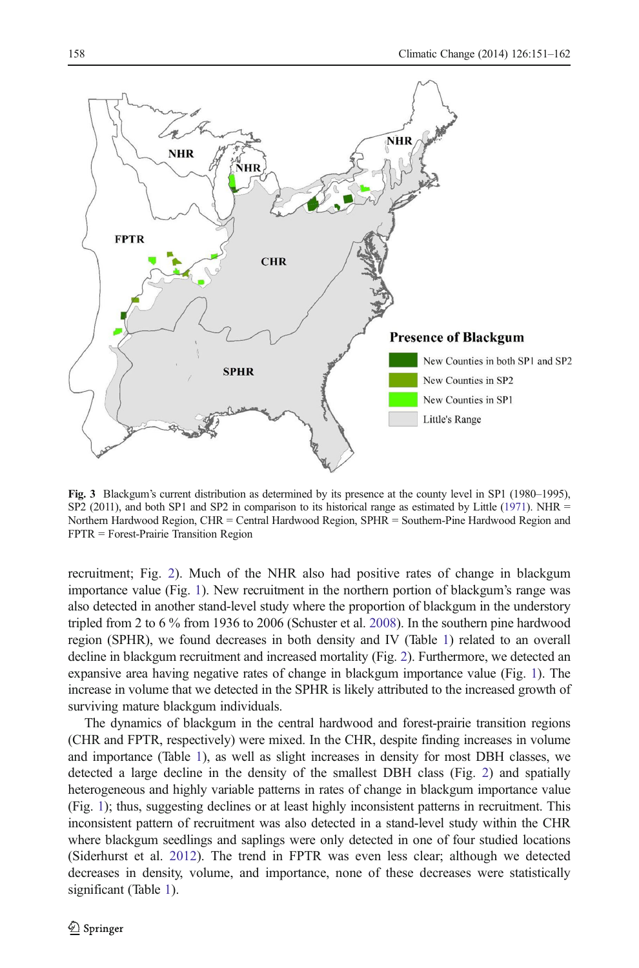<span id="page-7-0"></span>

Fig. 3 Blackgum's current distribution as determined by its presence at the county level in SP1 (1980–1995), SP2 (2011), and both SP1 and SP2 in comparison to its historical range as estimated by Little ([1971](#page-10-0)). NHR  $=$ Northern Hardwood Region, CHR = Central Hardwood Region, SPHR = Southern-Pine Hardwood Region and FPTR = Forest-Prairie Transition Region

recruitment; Fig. [2](#page-6-0)). Much of the NHR also had positive rates of change in blackgum importance value (Fig. [1\)](#page-2-0). New recruitment in the northern portion of blackgum's range was also detected in another stand-level study where the proportion of blackgum in the understory tripled from 2 to 6 % from 1936 to 2006 (Schuster et al. [2008\)](#page-11-0). In the southern pine hardwood region (SPHR), we found decreases in both density and IV (Table [1](#page-5-0)) related to an overall decline in blackgum recruitment and increased mortality (Fig. [2](#page-6-0)). Furthermore, we detected an expansive area having negative rates of change in blackgum importance value (Fig. [1\)](#page-2-0). The increase in volume that we detected in the SPHR is likely attributed to the increased growth of surviving mature blackgum individuals.

The dynamics of blackgum in the central hardwood and forest-prairie transition regions (CHR and FPTR, respectively) were mixed. In the CHR, despite finding increases in volume and importance (Table [1](#page-5-0)), as well as slight increases in density for most DBH classes, we detected a large decline in the density of the smallest DBH class (Fig. [2](#page-6-0)) and spatially heterogeneous and highly variable patterns in rates of change in blackgum importance value (Fig. [1\)](#page-2-0); thus, suggesting declines or at least highly inconsistent patterns in recruitment. This inconsistent pattern of recruitment was also detected in a stand-level study within the CHR where blackgum seedlings and saplings were only detected in one of four studied locations (Siderhurst et al. [2012](#page-11-0)). The trend in FPTR was even less clear; although we detected decreases in density, volume, and importance, none of these decreases were statistically significant (Table [1\)](#page-5-0).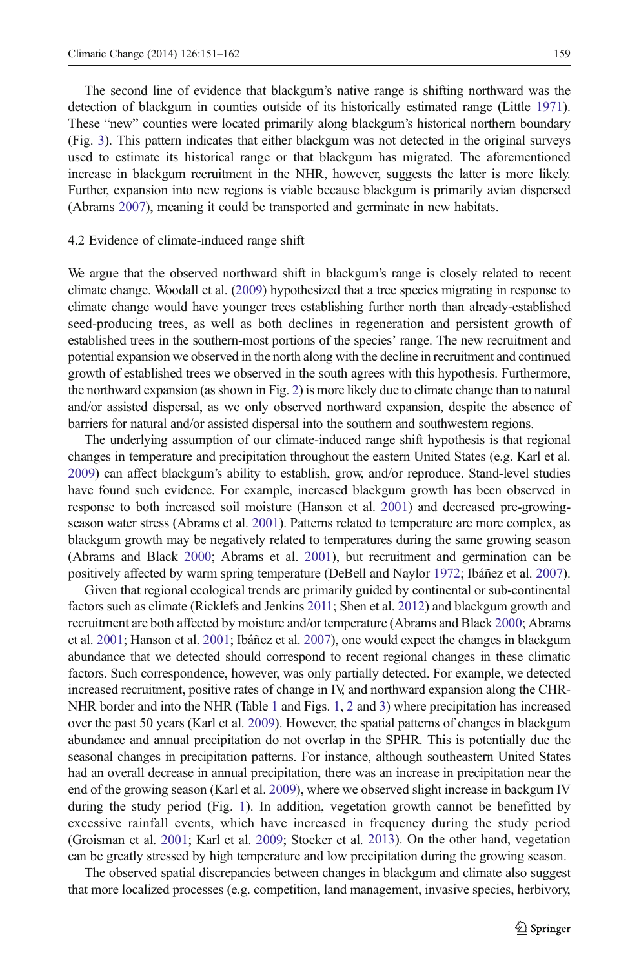The second line of evidence that blackgum's native range is shifting northward was the detection of blackgum in counties outside of its historically estimated range (Little [1971](#page-10-0)). These "new" counties were located primarily along blackgum's historical northern boundary (Fig. [3\)](#page-7-0). This pattern indicates that either blackgum was not detected in the original surveys used to estimate its historical range or that blackgum has migrated. The aforementioned increase in blackgum recruitment in the NHR, however, suggests the latter is more likely. Further, expansion into new regions is viable because blackgum is primarily avian dispersed (Abrams [2007](#page-9-0)), meaning it could be transported and germinate in new habitats.

#### 4.2 Evidence of climate-induced range shift

We argue that the observed northward shift in blackgum's range is closely related to recent climate change. Woodall et al. [\(2009\)](#page-11-0) hypothesized that a tree species migrating in response to climate change would have younger trees establishing further north than already-established seed-producing trees, as well as both declines in regeneration and persistent growth of established trees in the southern-most portions of the species' range. The new recruitment and potential expansion we observed in the north along with the decline in recruitment and continued growth of established trees we observed in the south agrees with this hypothesis. Furthermore, the northward expansion (as shown in Fig. [2\)](#page-6-0) is more likely due to climate change than to natural and/or assisted dispersal, as we only observed northward expansion, despite the absence of barriers for natural and/or assisted dispersal into the southern and southwestern regions.

The underlying assumption of our climate-induced range shift hypothesis is that regional changes in temperature and precipitation throughout the eastern United States (e.g. Karl et al. [2009](#page-10-0)) can affect blackgum's ability to establish, grow, and/or reproduce. Stand-level studies have found such evidence. For example, increased blackgum growth has been observed in response to both increased soil moisture (Hanson et al. [2001\)](#page-10-0) and decreased pre-growingseason water stress (Abrams et al. [2001\)](#page-10-0). Patterns related to temperature are more complex, as blackgum growth may be negatively related to temperatures during the same growing season (Abrams and Black [2000](#page-9-0); Abrams et al. [2001](#page-10-0)), but recruitment and germination can be positively affected by warm spring temperature (DeBell and Naylor [1972;](#page-10-0) Ibáñez et al. [2007](#page-10-0)).

Given that regional ecological trends are primarily guided by continental or sub-continental factors such as climate (Ricklefs and Jenkins [2011](#page-11-0); Shen et al. [2012](#page-11-0)) and blackgum growth and recruitment are both affected by moisture and/or temperature (Abrams and Black [2000](#page-9-0); Abrams et al. [2001;](#page-10-0) Hanson et al. [2001](#page-10-0); Ibáñez et al. [2007\)](#page-10-0), one would expect the changes in blackgum abundance that we detected should correspond to recent regional changes in these climatic factors. Such correspondence, however, was only partially detected. For example, we detected increased recruitment, positive rates of change in IV, and northward expansion along the CHR-NHR border and into the NHR (Table [1](#page-2-0) and Figs. 1, [2](#page-6-0) and [3\)](#page-7-0) where precipitation has increased over the past 50 years (Karl et al. [2009](#page-10-0)). However, the spatial patterns of changes in blackgum abundance and annual precipitation do not overlap in the SPHR. This is potentially due the seasonal changes in precipitation patterns. For instance, although southeastern United States had an overall decrease in annual precipitation, there was an increase in precipitation near the end of the growing season (Karl et al. [2009\)](#page-10-0), where we observed slight increase in backgum IV during the study period (Fig. [1](#page-2-0)). In addition, vegetation growth cannot be benefitted by excessive rainfall events, which have increased in frequency during the study period (Groisman et al. [2001](#page-10-0); Karl et al. [2009;](#page-10-0) Stocker et al. [2013\)](#page-11-0). On the other hand, vegetation can be greatly stressed by high temperature and low precipitation during the growing season.

The observed spatial discrepancies between changes in blackgum and climate also suggest that more localized processes (e.g. competition, land management, invasive species, herbivory,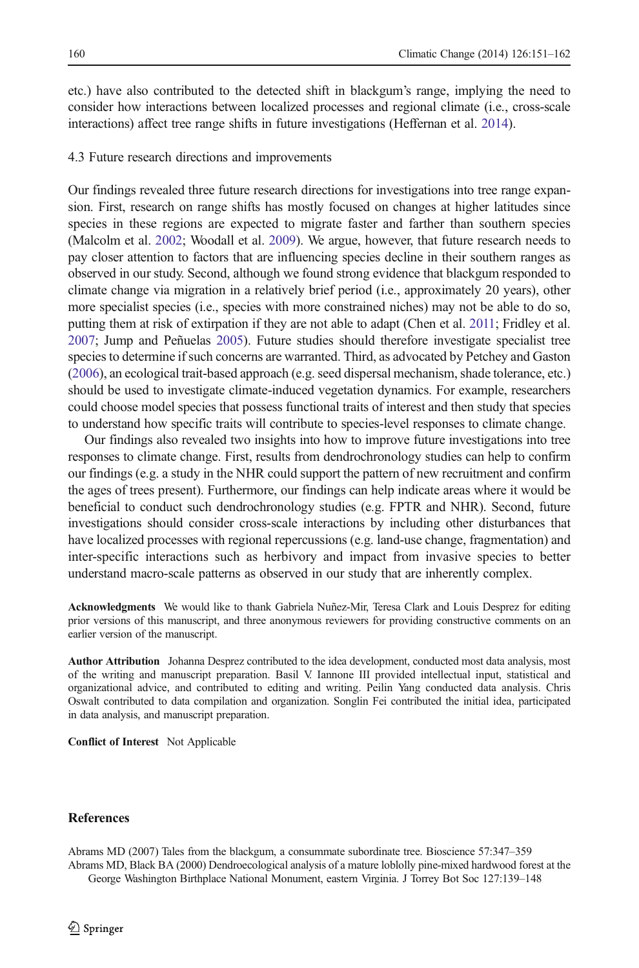<span id="page-9-0"></span>etc.) have also contributed to the detected shift in blackgum's range, implying the need to consider how interactions between localized processes and regional climate (i.e., cross-scale interactions) affect tree range shifts in future investigations (Heffernan et al. [2014\)](#page-10-0).

#### 4.3 Future research directions and improvements

Our findings revealed three future research directions for investigations into tree range expansion. First, research on range shifts has mostly focused on changes at higher latitudes since species in these regions are expected to migrate faster and farther than southern species (Malcolm et al. [2002](#page-10-0); Woodall et al. [2009\)](#page-11-0). We argue, however, that future research needs to pay closer attention to factors that are influencing species decline in their southern ranges as observed in our study. Second, although we found strong evidence that blackgum responded to climate change via migration in a relatively brief period (i.e., approximately 20 years), other more specialist species (i.e., species with more constrained niches) may not be able to do so, putting them at risk of extirpation if they are not able to adapt (Chen et al. [2011;](#page-10-0) Fridley et al. [2007](#page-10-0); Jump and Peñuelas [2005](#page-10-0)). Future studies should therefore investigate specialist tree species to determine if such concerns are warranted. Third, as advocated by Petchey and Gaston ([2006](#page-11-0)), an ecological trait-based approach (e.g. seed dispersal mechanism, shade tolerance, etc.) should be used to investigate climate-induced vegetation dynamics. For example, researchers could choose model species that possess functional traits of interest and then study that species to understand how specific traits will contribute to species-level responses to climate change.

Our findings also revealed two insights into how to improve future investigations into tree responses to climate change. First, results from dendrochronology studies can help to confirm our findings (e.g. a study in the NHR could support the pattern of new recruitment and confirm the ages of trees present). Furthermore, our findings can help indicate areas where it would be beneficial to conduct such dendrochronology studies (e.g. FPTR and NHR). Second, future investigations should consider cross-scale interactions by including other disturbances that have localized processes with regional repercussions (e.g. land-use change, fragmentation) and inter-specific interactions such as herbivory and impact from invasive species to better understand macro-scale patterns as observed in our study that are inherently complex.

Acknowledgments We would like to thank Gabriela Nuñez-Mir, Teresa Clark and Louis Desprez for editing prior versions of this manuscript, and three anonymous reviewers for providing constructive comments on an earlier version of the manuscript.

Author Attribution Johanna Desprez contributed to the idea development, conducted most data analysis, most of the writing and manuscript preparation. Basil V. Iannone III provided intellectual input, statistical and organizational advice, and contributed to editing and writing. Peilin Yang conducted data analysis. Chris Oswalt contributed to data compilation and organization. Songlin Fei contributed the initial idea, participated in data analysis, and manuscript preparation.

Conflict of Interest Not Applicable

## **References**

Abrams MD (2007) Tales from the blackgum, a consummate subordinate tree. Bioscience 57:347–359 Abrams MD, Black BA (2000) Dendroecological analysis of a mature loblolly pine-mixed hardwood forest at the George Washington Birthplace National Monument, eastern Virginia. J Torrey Bot Soc 127:139–148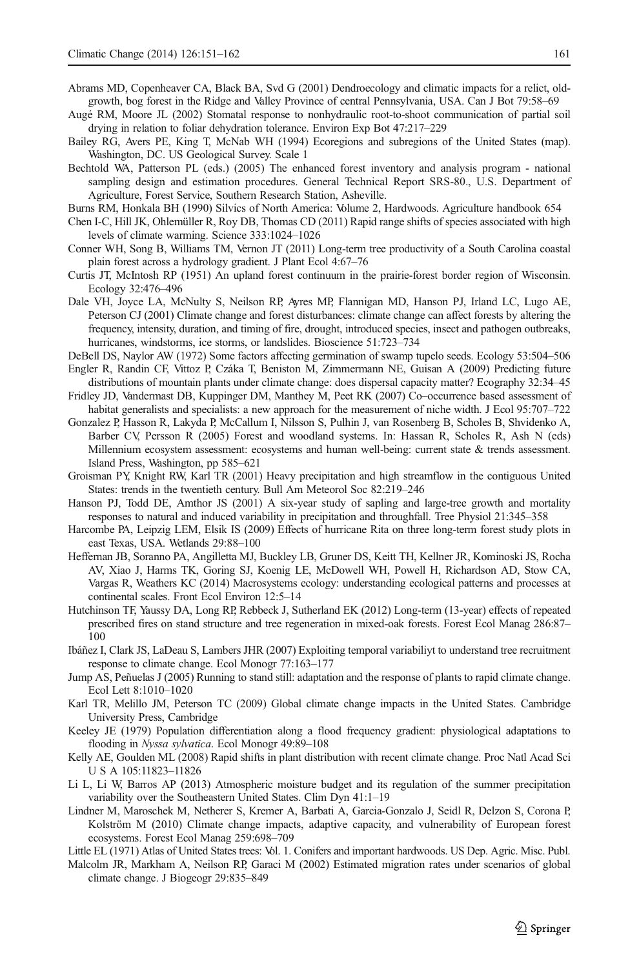- <span id="page-10-0"></span>Abrams MD, Copenheaver CA, Black BA, Svd G (2001) Dendroecology and climatic impacts for a relict, oldgrowth, bog forest in the Ridge and Valley Province of central Pennsylvania, USA. Can J Bot 79:58–69
- Augé RM, Moore JL (2002) Stomatal response to nonhydraulic root-to-shoot communication of partial soil drying in relation to foliar dehydration tolerance. Environ Exp Bot 47:217–229
- Bailey RG, Avers PE, King T, McNab WH (1994) Ecoregions and subregions of the United States (map). Washington, DC. US Geological Survey. Scale 1
- Bechtold WA, Patterson PL (eds.) (2005) The enhanced forest inventory and analysis program national sampling design and estimation procedures. General Technical Report SRS-80., U.S. Department of Agriculture, Forest Service, Southern Research Station, Asheville.
- Burns RM, Honkala BH (1990) Silvics of North America: Volume 2, Hardwoods. Agriculture handbook 654
- Chen I-C, Hill JK, Ohlemüller R, Roy DB, Thomas CD (2011) Rapid range shifts of species associated with high levels of climate warming. Science 333:1024–1026
- Conner WH, Song B, Williams TM, Vernon JT (2011) Long-term tree productivity of a South Carolina coastal plain forest across a hydrology gradient. J Plant Ecol 4:67–76
- Curtis JT, McIntosh RP (1951) An upland forest continuum in the prairie-forest border region of Wisconsin. Ecology 32:476–496
- Dale VH, Joyce LA, McNulty S, Neilson RP, Ayres MP, Flannigan MD, Hanson PJ, Irland LC, Lugo AE, Peterson CJ (2001) Climate change and forest disturbances: climate change can affect forests by altering the frequency, intensity, duration, and timing of fire, drought, introduced species, insect and pathogen outbreaks, hurricanes, windstorms, ice storms, or landslides. Bioscience 51:723–734
- DeBell DS, Naylor AW (1972) Some factors affecting germination of swamp tupelo seeds. Ecology 53:504–506 Engler R, Randin CF, Vittoz P, Czáka T, Beniston M, Zimmermann NE, Guisan A (2009) Predicting future
- distributions of mountain plants under climate change: does dispersal capacity matter? Ecography 32:34–45 Fridley JD, Vandermast DB, Kuppinger DM, Manthey M, Peet RK (2007) Co–occurrence based assessment of
- habitat generalists and specialists: a new approach for the measurement of niche width. J Ecol 95:707–722
- Gonzalez P, Hasson R, Lakyda P, McCallum I, Nilsson S, Pulhin J, van Rosenberg B, Scholes B, Shvidenko A, Barber CV, Persson R (2005) Forest and woodland systems. In: Hassan R, Scholes R, Ash N (eds) Millennium ecosystem assessment: ecosystems and human well-being: current state & trends assessment. Island Press, Washington, pp 585–621
- Groisman PY, Knight RW, Karl TR (2001) Heavy precipitation and high streamflow in the contiguous United States: trends in the twentieth century. Bull Am Meteorol Soc 82:219–246
- Hanson PJ, Todd DE, Amthor JS (2001) A six-year study of sapling and large-tree growth and mortality responses to natural and induced variability in precipitation and throughfall. Tree Physiol 21:345–358
- Harcombe PA, Leipzig LEM, Elsik IS (2009) Effects of hurricane Rita on three long-term forest study plots in east Texas, USA. Wetlands 29:88–100
- Heffernan JB, Soranno PA, Angilletta MJ, Buckley LB, Gruner DS, Keitt TH, Kellner JR, Kominoski JS, Rocha AV, Xiao J, Harms TK, Goring SJ, Koenig LE, McDowell WH, Powell H, Richardson AD, Stow CA, Vargas R, Weathers KC (2014) Macrosystems ecology: understanding ecological patterns and processes at continental scales. Front Ecol Environ 12:5–14
- Hutchinson TF, Yaussy DA, Long RP, Rebbeck J, Sutherland EK (2012) Long-term (13-year) effects of repeated prescribed fires on stand structure and tree regeneration in mixed-oak forests. Forest Ecol Manag 286:87– 100
- Ibáñez I, Clark JS, LaDeau S, Lambers JHR (2007) Exploiting temporal variabiliyt to understand tree recruitment response to climate change. Ecol Monogr 77:163–177
- Jump AS, Peñuelas J (2005) Running to stand still: adaptation and the response of plants to rapid climate change. Ecol Lett 8:1010–1020
- Karl TR, Melillo JM, Peterson TC (2009) Global climate change impacts in the United States. Cambridge University Press, Cambridge
- Keeley JE (1979) Population differentiation along a flood frequency gradient: physiological adaptations to flooding in Nyssa sylvatica. Ecol Monogr 49:89–<sup>108</sup>
- Kelly AE, Goulden ML (2008) Rapid shifts in plant distribution with recent climate change. Proc Natl Acad Sci U S A 105:11823–11826
- Li L, Li W, Barros AP (2013) Atmospheric moisture budget and its regulation of the summer precipitation variability over the Southeastern United States. Clim Dyn 41:1–19
- Lindner M, Maroschek M, Netherer S, Kremer A, Barbati A, Garcia-Gonzalo J, Seidl R, Delzon S, Corona P, Kolström M (2010) Climate change impacts, adaptive capacity, and vulnerability of European forest ecosystems. Forest Ecol Manag 259:698–709
- Little EL (1971) Atlas of United States trees: Vol. 1. Conifers and important hardwoods. US Dep. Agric. Misc. Publ.
- Malcolm JR, Markham A, Neilson RP, Garaci M (2002) Estimated migration rates under scenarios of global climate change. J Biogeogr 29:835–849